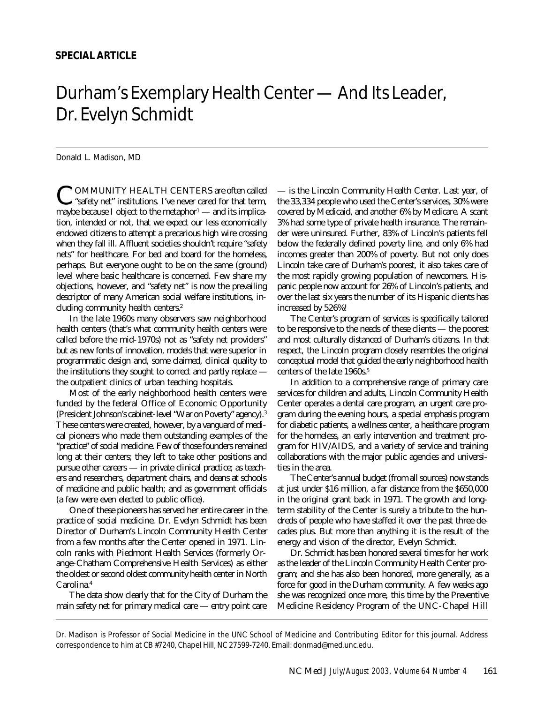## Durham's Exemplary Health Center — And Its Leader, Dr. Evelyn Schmidt

Donald L. Madison, MD

COMMUNITY HEALTH CENTERS are often called<br>
"safety net" institutions. I've never cared for that term, "safety net" institutions. I've never cared for that term, maybe because I object to the metaphor $\sim$  and its implication, intended or not, that we expect our less economically endowed citizens to attempt a precarious high wire crossing when they fall ill. Affluent societies shouldn't require "safety nets" for healthcare. For bed and board for the homeless, perhaps. But everyone ought to be on the same (ground) level where basic healthcare is concerned. Few share my objections, however, and "safety net" is now the prevailing descriptor of many American social welfare institutions, including community health centers.<sup>2</sup>

In the late 1960s many observers saw neighborhood health centers (that's what community health centers were called before the mid-1970s) not as "safety net providers" but as new fonts of innovation, models that were superior in programmatic design and, some claimed, clinical quality to the institutions they sought to correct and partly replace the outpatient clinics of urban teaching hospitals.

Most of the early neighborhood health centers were funded by the federal Office of Economic Opportunity (President Johnson's cabinet-level "War on Poverty" agency).<sup>3</sup> These centers were created, however, by a vanguard of medical pioneers who made them outstanding examples of the "practice" of social medicine. Few of those founders remained long at their centers; they left to take other positions and pursue other careers — in private clinical practice; as teachers and researchers, department chairs, and deans at schools of medicine and public health; and as government officials (a few were even elected to public office).

One of these pioneers has served her entire career in the practice of social medicine. Dr. Evelyn Schmidt has been Director of Durham's Lincoln Community Health Center from a few months after the Center opened in 1971. Lincoln ranks with Piedmont Health Services (formerly Orange-Chatham Comprehensive Health Services) as either the oldest or second oldest community health center in North Carolina.<sup>4</sup>

The data show clearly that for the City of Durham the main safety net for primary medical care — entry point care

— is the Lincoln Community Health Center. Last year, of the 33,334 people who used the Center's services, 30% were covered by Medicaid, and another 6% by Medicare. A scant 3% had some type of private health insurance. The remainder were uninsured. Further, 83% of Lincoln's patients fell below the federally defined poverty line, and only 6% had incomes greater than 200% of poverty. But not only does Lincoln take care of Durham's poorest, it also takes care of the most rapidly growing population of newcomers. Hispanic people now account for 26% of Lincoln's patients, and over the last six years the number of its Hispanic clients has increased by 526%!

The Center's program of services is specifically tailored to be responsive to the needs of these clients — the poorest and most culturally distanced of Durham's citizens. In that respect, the Lincoln program closely resembles the original conceptual model that guided the early neighborhood health centers of the late 1960s.<sup>5</sup>

In addition to a comprehensive range of primary care services for children and adults, Lincoln Community Health Center operates a dental care program, an urgent care program during the evening hours, a special emphasis program for diabetic patients, a wellness center, a healthcare program for the homeless, an early intervention and treatment program for HIV/AIDS, and a variety of service and training collaborations with the major public agencies and universities in the area.

The Center's annual budget (from all sources) now stands at just under \$16 million, a far distance from the \$650,000 in the original grant back in 1971. The growth and longterm stability of the Center is surely a tribute to the hundreds of people who have staffed it over the past three decades plus. But more than anything it is the result of the energy and vision of the director, Evelyn Schmidt.

Dr. Schmidt has been honored several times for her work as the leader of the Lincoln Community Health Center program; and she has also been honored, more generally, as a force for good in the Durham community. A few weeks ago she was recognized once more, this time by the Preventive Medicine Residency Program of the UNC-Chapel Hill

Dr. Madison is Professor of Social Medicine in the UNC School of Medicine and Contributing Editor for this journal. Address correspondence to him at CB #7240, Chapel Hill, NC 27599-7240. Email: donmad@med.unc.edu.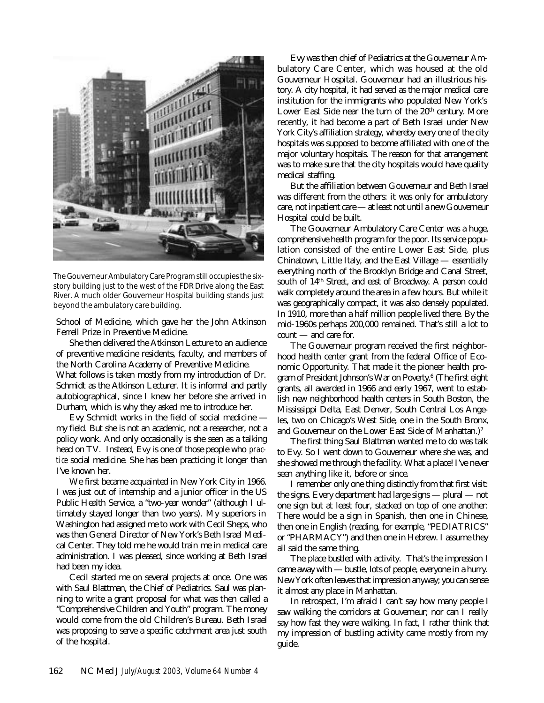

The Gouverneur Ambulatory Care Program still occupies the sixstory building just to the west of the FDR Drive along the East River. A much older Gouverneur Hospital building stands just beyond the ambulatory care building.

School of Medicine, which gave her the John Atkinson Ferrell Prize in Preventive Medicine.

She then delivered the Atkinson Lecture to an audience of preventive medicine residents, faculty, and members of the North Carolina Academy of Preventive Medicine.

What follows is taken mostly from my introduction of Dr. Schmidt as the Atkinson Lecturer. It is informal and partly autobiographical, since I knew her before she arrived in Durham, which is why they asked me to introduce her.

Evy Schmidt works in the field of social medicine my field. But she is not an academic, not a researcher, not a policy wonk. And only occasionally is she seen as a talking head on TV. Instead, Evy is one of those people who *practice* social medicine. She has been practicing it longer than I've known her.

We first became acquainted in New York City in 1966. I was just out of internship and a junior officer in the US Public Health Service, a "two-year wonder" (although I ultimately stayed longer than two years). My superiors in Washington had assigned me to work with Cecil Sheps, who was then General Director of New York's Beth Israel Medical Center. They told me he would train me in medical care administration. I was pleased, since working at Beth Israel had been my idea.

Cecil started me on several projects at once. One was with Saul Blattman, the Chief of Pediatrics. Saul was planning to write a grant proposal for what was then called a "Comprehensive Children and Youth" program. The money would come from the old Children's Bureau. Beth Israel was proposing to serve a specific catchment area just south of the hospital.

Evy was then chief of Pediatrics at the Gouverneur Ambulatory Care Center, which was housed at the old Gouverneur Hospital. Gouverneur had an illustrious history. A city hospital, it had served as the major medical care institution for the immigrants who populated New York's Lower East Side near the turn of the 20<sup>th</sup> century. More recently, it had become a part of Beth Israel under New York City's affiliation strategy, whereby every one of the city hospitals was supposed to become affiliated with one of the major voluntary hospitals. The reason for that arrangement was to make sure that the city hospitals would have quality medical staffing.

But the affiliation between Gouverneur and Beth Israel was different from the others: it was only for ambulatory care, not inpatient care — at least not until a new Gouverneur Hospital could be built.

The Gouverneur Ambulatory Care Center was a huge, comprehensive health program for the poor. Its service population consisted of the entire Lower East Side, plus Chinatown, Little Italy, and the East Village — essentially everything north of the Brooklyn Bridge and Canal Street, south of 14th Street, and east of Broadway. A person could walk completely around the area in a few hours. But while it was geographically compact, it was also densely populated. In 1910, more than a half million people lived there. By the mid-1960s perhaps 200,000 remained. That's still a lot to count — and care for.

The Gouverneur program received the first neighborhood health center grant from the federal Office of Economic Opportunity. That made it the pioneer health program of President Johnson's War on Poverty.<sup>6</sup> (The first eight grants, all awarded in 1966 and early 1967, went to establish new neighborhood health centers in South Boston, the Mississippi Delta, East Denver, South Central Los Angeles, two on Chicago's West Side, one in the South Bronx, and Gouverneur on the Lower East Side of Manhattan.)<sup>7</sup>

The first thing Saul Blattman wanted me to do was talk to Evy. So I went down to Gouverneur where she was, and she showed me through the facility. What a place! I've never seen anything like it, before or since.

I remember only one thing distinctly from that first visit: the signs. Every department had large signs — plural — not one sign but at least four, stacked on top of one another: There would be a sign in Spanish, then one in Chinese, then one in English (reading, for example, "PEDIATRICS" or "PHARMACY") and then one in Hebrew. I assume they all said the same thing.

The place bustled with activity. That's the impression I came away with — bustle, lots of people, everyone in a hurry. New York often leaves that impression anyway; you can sense it almost any place in Manhattan.

In retrospect, I'm afraid I can't say how many people I saw walking the corridors at Gouverneur; nor can I really say how fast they were walking. In fact, I rather think that my impression of bustling activity came mostly from my guide.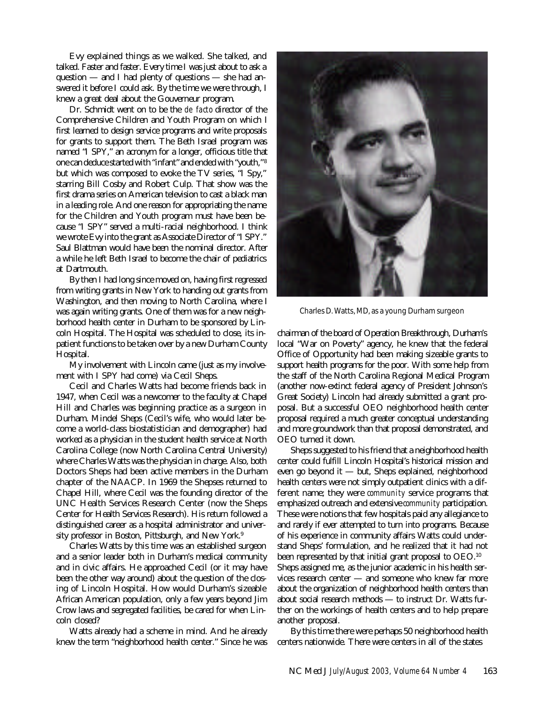Evy explained things as we walked. She talked, and talked. Faster and faster. Every time I was just about to ask a question — and I had plenty of questions — she had answered it before I could ask. By the time we were through, I knew a great deal about the Gouverneur program.

Dr. Schmidt went on to be the *de facto* director of the Comprehensive Children and Youth Program on which I first learned to design service programs and write proposals for grants to support them. The Beth Israel program was named "I SPY," an acronym for a longer, officious title that one can deduce started with "infant" and ended with "youth," <sup>8</sup> but which was composed to evoke the TV series, "I Spy," starring Bill Cosby and Robert Culp. That show was the first drama series on American television to cast a black man in a leading role. And one reason for appropriating the name for the Children and Youth program must have been because "I SPY" served a multi-racial neighborhood. I think we wrote Evy into the grant as Associate Director of "I SPY." Saul Blattman would have been the nominal director. After a while he left Beth Israel to become the chair of pediatrics at Dartmouth.

By then I had long since moved on, having first regressed from writing grants in New York to handing out grants from Washington, and then moving to North Carolina, where I was again writing grants. One of them was for a new neighborhood health center in Durham to be sponsored by Lincoln Hospital. The Hospital was scheduled to close, its inpatient functions to be taken over by a new Durham County Hospital.

My involvement with Lincoln came (just as my involvement with I SPY had come) via Cecil Sheps.

Cecil and Charles Watts had become friends back in 1947, when Cecil was a newcomer to the faculty at Chapel Hill and Charles was beginning practice as a surgeon in Durham. Mindel Sheps (Cecil's wife, who would later become a world-class biostatistician and demographer) had worked as a physician in the student health service at North Carolina College (now North Carolina Central University) where Charles Watts was the physician in charge. Also, both Doctors Sheps had been active members in the Durham chapter of the NAACP. In 1969 the Shepses returned to Chapel Hill, where Cecil was the founding director of the UNC Health Services Research Center (now the Sheps Center for Health Services Research). His return followed a distinguished career as a hospital administrator and university professor in Boston, Pittsburgh, and New York.<sup>9</sup>

Charles Watts by this time was an established surgeon and a senior leader both in Durham's medical community and in civic affairs. He approached Cecil (or it may have been the other way around) about the question of the closing of Lincoln Hospital. How would Durham's sizeable African American population, only a few years beyond Jim Crow laws and segregated facilities, be cared for when Lincoln closed?

Watts already had a scheme in mind. And he already knew the term "neighborhood health center." Since he was



Charles D. Watts, MD, as a young Durham surgeon

chairman of the board of Operation Breakthrough, Durham's local "War on Poverty" agency, he knew that the federal Office of Opportunity had been making sizeable grants to support health programs for the poor. With some help from the staff of the North Carolina Regional Medical Program (another now-extinct federal agency of President Johnson's Great Society) Lincoln had already submitted a grant proposal. But a successful OEO neighborhood health center proposal required a much greater conceptual understanding and more groundwork than that proposal demonstrated, and OEO turned it down.

Sheps suggested to his friend that a neighborhood health center could fulfill Lincoln Hospital's historical mission and even go beyond it — but, Sheps explained, neighborhood health centers were not simply outpatient clinics with a different name; they were *community* service programs that emphasized outreach and extensive *community* participation. These were notions that few hospitals paid any allegiance to and rarely if ever attempted to turn into programs. Because of his experience in community affairs Watts could understand Sheps' formulation, and he realized that it had not been represented by that initial grant proposal to OEO.<sup>10</sup> Sheps assigned me, as the junior academic in his health services research center — and someone who knew far more about the organization of neighborhood health centers than about social research methods — to instruct Dr. Watts further on the workings of health centers and to help prepare another proposal.

By this time there were perhaps 50 neighborhood health centers nationwide. There were centers in all of the states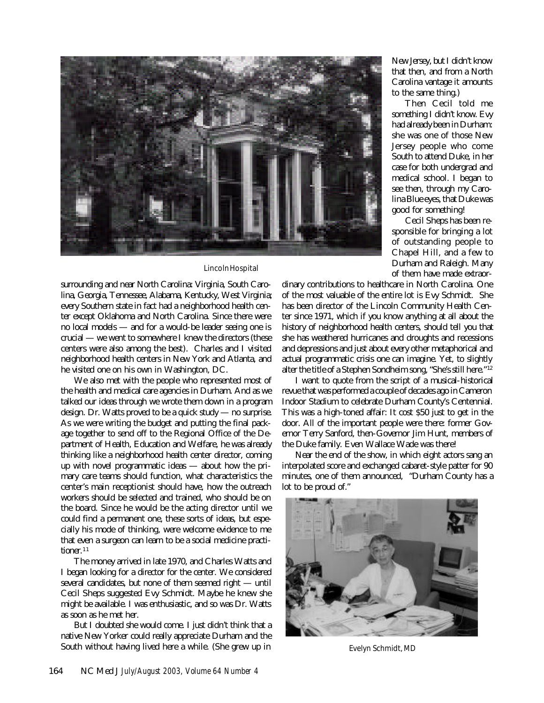

## Lincoln Hospital

surrounding and near North Carolina: Virginia, South Carolina, Georgia, Tennessee, Alabama, Kentucky, West Virginia; every Southern state in fact had a neighborhood health center except Oklahoma and North Carolina. Since there were no local models — and for a would-be leader seeing one is crucial — we went to somewhere I knew the directors (these centers were also among the best). Charles and I visited neighborhood health centers in New York and Atlanta, and he visited one on his own in Washington, DC.

We also met with the people who represented most of the health and medical care agencies in Durham. And as we talked our ideas through we wrote them down in a program design. Dr. Watts proved to be a quick study — no surprise. As we were writing the budget and putting the final package together to send off to the Regional Office of the Department of Health, Education and Welfare, he was already thinking like a neighborhood health center director, coming up with novel programmatic ideas — about how the primary care teams should function, what characteristics the center's main receptionist should have, how the outreach workers should be selected and trained, who should be on the board. Since he would be the acting director until we could find a permanent one, these sorts of ideas, but especially his mode of thinking, were welcome evidence to me that even a surgeon can learn to be a social medicine practitioner.<sup>11</sup>

The money arrived in late 1970, and Charles Watts and I began looking for a director for the center. We considered several candidates, but none of them seemed right — until Cecil Sheps suggested Evy Schmidt. Maybe he knew she might be available. I was enthusiastic, and so was Dr. Watts as soon as he met her.

But I doubted she would come. I just didn't think that a native New Yorker could really appreciate Durham and the South without having lived here a while. (She grew up in New Jersey, but I didn't know that then, and from a North Carolina vantage it amounts to the same thing.)

Then Cecil told me something I didn't know. Evy had already been in Durham: she was one of those New Jersey people who come South to attend Duke, in her case for both undergrad and medical school. I began to see then, through my Carolina Blue eyes, that Duke was good for something!

Cecil Sheps has been responsible for bringing a lot of outstanding people to Chapel Hill, and a few to Durham and Raleigh. Many of them have made extraor-

dinary contributions to healthcare in North Carolina. One of the most valuable of the entire lot is Evy Schmidt. She has been director of the Lincoln Community Health Center since 1971, which if you know anything at all about the history of neighborhood health centers, should tell you that she has weathered hurricanes and droughts and recessions and depressions and just about every other metaphorical and actual programmatic crisis one can imagine. Yet, to slightly alter the title of a Stephen Sondheim song, "She's still here."<sup>12</sup>

I want to quote from the script of a musical-historical revue that was performed a couple of decades ago in Cameron Indoor Stadium to celebrate Durham County's Centennial. This was a high-toned affair: It cost \$50 just to get in the door. All of the important people were there: former Governor Terry Sanford, then-Governor Jim Hunt, members of the Duke family. Even Wallace Wade was there!

Near the end of the show, in which eight actors sang an interpolated score and exchanged cabaret-style patter for 90 minutes, one of them announced, "Durham County has a lot to be proud of."



Evelyn Schmidt, MD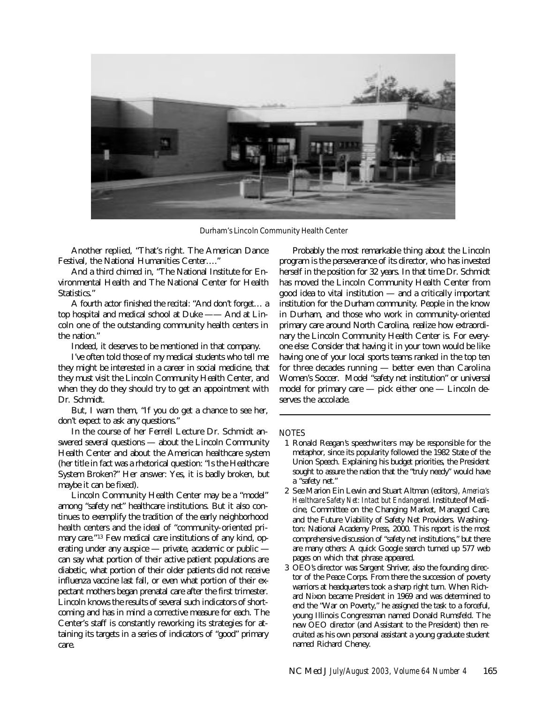

Durham's Lincoln Community Health Center

Another replied, "That's right. The American Dance Festival, the National Humanities Center…."

And a third chimed in, "The National Institute for Environmental Health and The National Center for Health Statistics."

A fourth actor finished the recital: "And don't forget… a top hospital and medical school at Duke —— And at Lincoln one of the outstanding community health centers in the nation."

Indeed, it deserves to be mentioned in that company.

I've often told those of my medical students who tell me they might be interested in a career in social medicine, that they must visit the Lincoln Community Health Center, and when they do they should try to get an appointment with Dr. Schmidt.

But, I warn them, "If you do get a chance to see her, don't expect to ask any questions."

In the course of her Ferrell Lecture Dr. Schmidt answered several questions — about the Lincoln Community Health Center and about the American healthcare system (her title in fact was a rhetorical question: "Is the Healthcare System Broken?" Her answer: Yes, it is badly broken, but maybe it can be fixed).

Lincoln Community Health Center may be a "model" among "safety net" healthcare institutions. But it also continues to exemplify the tradition of the early neighborhood health centers and the ideal of "community-oriented primary care."13 Few medical care institutions of any kind, operating under any auspice — private, academic or public can say what portion of their active patient populations are diabetic, what portion of their older patients did not receive influenza vaccine last fall, or even what portion of their expectant mothers began prenatal care after the first trimester. Lincoln knows the results of several such indicators of shortcoming and has in mind a corrective measure for each. The Center's staff is constantly reworking its strategies for attaining its targets in a series of indicators of "good" primary care.

Probably the most remarkable thing about the Lincoln program is the perseverance of its director, who has invested herself in the position for 32 years. In that time Dr. Schmidt has moved the Lincoln Community Health Center from good idea to vital institution — and a critically important institution for the Durham community. People in the know in Durham, and those who work in community-oriented primary care around North Carolina, realize how extraordinary the Lincoln Community Health Center is. For everyone else: Consider that having it in your town would be like having one of your local sports teams ranked in the top ten for three decades running — better even than Carolina Women's Soccer. Model "safety net institution" or universal model for primary care — pick either one — Lincoln deserves the accolade.

## NOTES

- 1 Ronald Reagan's speechwriters may be responsible for the metaphor, since its popularity followed the 1982 State of the Union Speech. Explaining his budget priorities, the President sought to assure the nation that the "truly needy" would have a "safety net."
- 2 See Marion Ein Lewin and Stuart Altman (editors), *America's Healthcare Safety Net: Intact but Endangered.* Institute of Medicine, Committee on the Changing Market, Managed Care, and the Future Viability of Safety Net Providers. Washington: National Academy Press, 2000. This report is the most comprehensive discussion of "safety net institutions," but there are many others: A quick Google search turned up 577 web pages on which that phrase appeared.
- 3 OEO's director was Sargent Shriver, also the founding director of the Peace Corps. From there the succession of poverty warriors at headquarters took a sharp right turn. When Richard Nixon became President in 1969 and was determined to end the "War on Poverty," he assigned the task to a forceful, young Illinois Congressman named Donald Rumsfeld. The new OEO director (and Assistant to the President) then recruited as his own personal assistant a young graduate student named Richard Cheney.